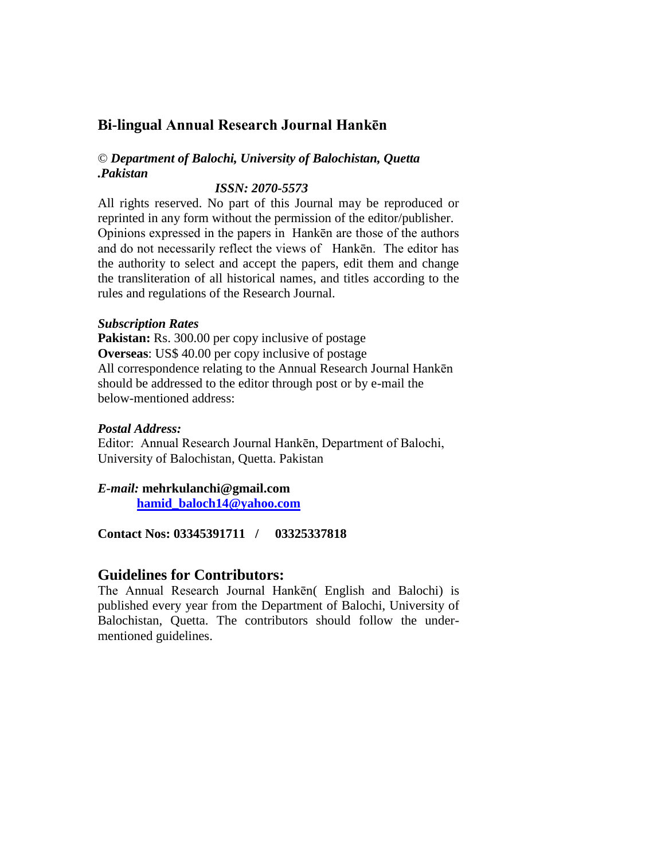# **Bi-lingual Annual Research Journal Hankēn**

# © *Department of Balochi, University of Balochistan, Quetta .Pakistan*

#### *ISSN: 2070-5573*

All rights reserved. No part of this Journal may be reproduced or reprinted in any form without the permission of the editor/publisher. Opinions expressed in the papers in Hankēn are those of the authors and do not necessarily reflect the views of Hankēn. The editor has the authority to select and accept the papers, edit them and change the transliteration of all historical names, and titles according to the rules and regulations of the Research Journal.

#### *Subscription Rates*

**Pakistan:** Rs. 300.00 per copy inclusive of postage **Overseas**: US\$ 40.00 per copy inclusive of postage All correspondence relating to the Annual Research Journal Hankēn should be addressed to the editor through post or by e-mail the below-mentioned address:

#### *Postal Address:*

Editor: Annual Research Journal Hankēn, Department of Balochi, University of Balochistan, Quetta. Pakistan

## *E-mail:* **mehrkulanchi@gmail.com**

**[hamid\\_baloch14@yahoo.com](mailto:hamid_baloch14@yahoo.com)**

**Contact Nos: 03345391711 / 03325337818**

## **Guidelines for Contributors:**

The Annual Research Journal Hankēn( English and Balochi) is published every year from the Department of Balochi, University of Balochistan, Quetta. The contributors should follow the undermentioned guidelines.